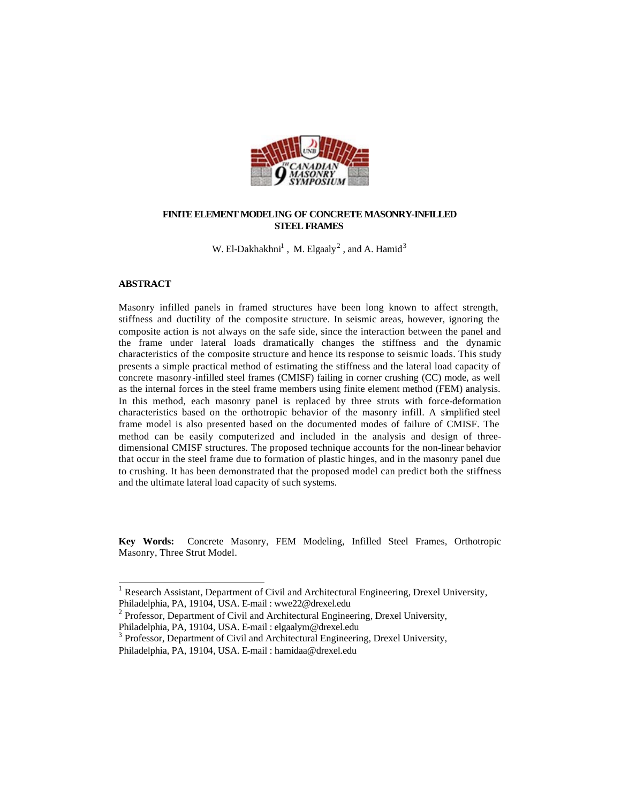

## **FINITE ELEMENT MODELING OF CONCRETE MASONRY-INFILLED STEEL FRAMES**

W. El-Dakhakhni<sup>1</sup>, M. Elgaaly<sup>2</sup>, and A. Hamid<sup>3</sup>

## **ABSTRACT**

l

Masonry infilled panels in framed structures have been long known to affect strength, stiffness and ductility of the composite structure. In seismic areas, however, ignoring the composite action is not always on the safe side, since the interaction between the panel and the frame under lateral loads dramatically changes the stiffness and the dynamic characteristics of the composite structure and hence its response to seismic loads. This study presents a simple practical method of estimating the stiffness and the lateral load capacity of concrete masonry-infilled steel frames (CMISF) failing in corner crushing (CC) mode, as well as the internal forces in the steel frame members using finite element method (FEM) analysis. In this method, each masonry panel is replaced by three struts with force-deformation characteristics based on the orthotropic behavior of the masonry infill. A simplified steel frame model is also presented based on the documented modes of failure of CMISF. The method can be easily computerized and included in the analysis and design of threedimensional CMISF structures. The proposed technique accounts for the non-linear behavior that occur in the steel frame due to formation of plastic hinges, and in the masonry panel due to crushing. It has been demonstrated that the proposed model can predict both the stiffness and the ultimate lateral load capacity of such systems.

**Key Words:** Concrete Masonry, FEM Modeling, Infilled Steel Frames, Orthotropic Masonry, Three Strut Model.

<sup>&</sup>lt;sup>1</sup> Research Assistant, Department of Civil and Architectural Engineering, Drexel University, Philadelphia, PA, 19104, USA. E-mail : wwe22@drexel.edu

<sup>&</sup>lt;sup>2</sup> Professor, Department of Civil and Architectural Engineering, Drexel University,

Philadelphia, PA, 19104, USA. E-mail : elgaalym@drexel.edu

<sup>&</sup>lt;sup>3</sup> Professor, Department of Civil and Architectural Engineering, Drexel University, Philadelphia, PA, 19104, USA. E-mail : hamidaa@drexel.edu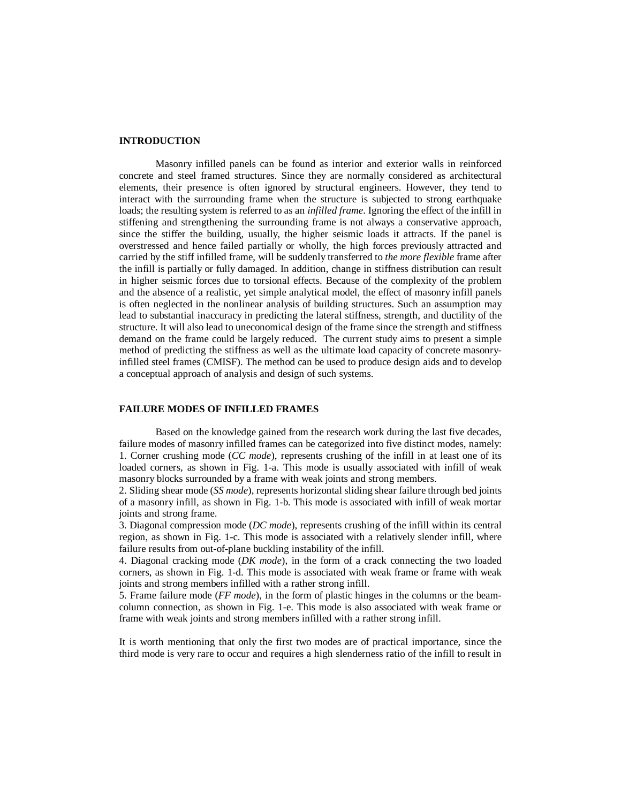### **INTRODUCTION**

Masonry infilled panels can be found as interior and exterior walls in reinforced concrete and steel framed structures. Since they are normally considered as architectural elements, their presence is often ignored by structural engineers. However, they tend to interact with the surrounding frame when the structure is subjected to strong earthquake loads; the resulting system is referred to as an *infilled frame*. Ignoring the effect of the infill in stiffening and strengthening the surrounding frame is not always a conservative approach, since the stiffer the building, usually, the higher seismic loads it attracts. If the panel is overstressed and hence failed partially or wholly, the high forces previously attracted and carried by the stiff infilled frame, will be suddenly transferred to *the more flexible* frame after the infill is partially or fully damaged. In addition, change in stiffness distribution can result in higher seismic forces due to torsional effects. Because of the complexity of the problem and the absence of a realistic, yet simple analytical model, the effect of masonry infill panels is often neglected in the nonlinear analysis of building structures. Such an assumption may lead to substantial inaccuracy in predicting the lateral stiffness, strength, and ductility of the structure. It will also lead to uneconomical design of the frame since the strength and stiffness demand on the frame could be largely reduced. The current study aims to present a simple method of predicting the stiffness as well as the ultimate load capacity of concrete masonryinfilled steel frames (CMISF). The method can be used to produce design aids and to develop a conceptual approach of analysis and design of such systems.

## **FAILURE MODES OF INFILLED FRAMES**

Based on the knowledge gained from the research work during the last five decades, failure modes of masonry infilled frames can be categorized into five distinct modes, namely: 1. Corner crushing mode (*CC mode*), represents crushing of the infill in at least one of its loaded corners, as shown in Fig. 1-a. This mode is usually associated with infill of weak masonry blocks surrounded by a frame with weak joints and strong members.

2. Sliding shear mode (*SS mode*), represents horizontal sliding shear failure through bed joints of a masonry infill, as shown in Fig. 1-b. This mode is associated with infill of weak mortar joints and strong frame.

3. Diagonal compression mode (*DC mode*), represents crushing of the infill within its central region, as shown in Fig. 1-c. This mode is associated with a relatively slender infill, where failure results from out-of-plane buckling instability of the infill.

4. Diagonal cracking mode (*DK mode*), in the form of a crack connecting the two loaded corners, as shown in Fig. 1-d. This mode is associated with weak frame or frame with weak joints and strong members infilled with a rather strong infill.

5. Frame failure mode (*FF mode*), in the form of plastic hinges in the columns or the beamcolumn connection, as shown in Fig. 1-e. This mode is also associated with weak frame or frame with weak joints and strong members infilled with a rather strong infill.

It is worth mentioning that only the first two modes are of practical importance, since the third mode is very rare to occur and requires a high slenderness ratio of the infill to result in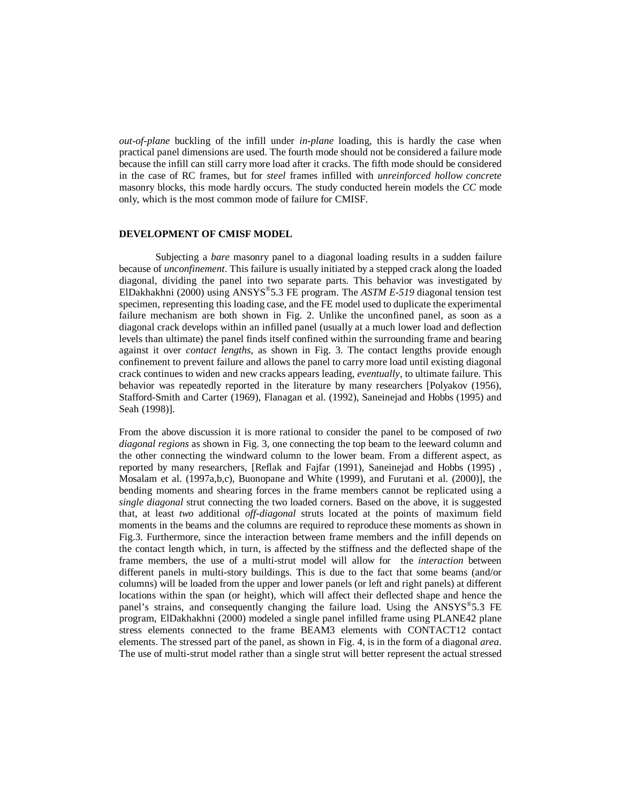*out-of-plane* buckling of the infill under *in-plane* loading, this is hardly the case when practical panel dimensions are used. The fourth mode should not be considered a failure mode because the infill can still carry more load after it cracks. The fifth mode should be considered in the case of RC frames, but for *steel* frames infilled with *unreinforced hollow concrete* masonry blocks, this mode hardly occurs. The study conducted herein models the *CC* mode only, which is the most common mode of failure for CMISF.

## **DEVELOPMENT OF CMISF MODEL**

Subjecting a *bare* masonry panel to a diagonal loading results in a sudden failure because of *unconfinement*. This failure is usually initiated by a stepped crack along the loaded diagonal, dividing the panel into two separate parts. This behavior was investigated by ElDakhakhni (2000) using ANSYS®5.3 FE program. The *ASTM E-519* diagonal tension test specimen, representing this loading case, and the FE model used to duplicate the experimental failure mechanism are both shown in Fig. 2. Unlike the unconfined panel, as soon as a diagonal crack develops within an infilled panel (usually at a much lower load and deflection levels than ultimate) the panel finds itself confined within the surrounding frame and bearing against it over *contact lengths*, as shown in Fig. 3. The contact lengths provide enough confinement to prevent failure and allows the panel to carry more load until existing diagonal crack continues to widen and new cracks appears leading, *eventually*, to ultimate failure. This behavior was repeatedly reported in the literature by many researchers [Polyakov (1956), Stafford-Smith and Carter (1969), Flanagan et al. (1992), Saneinejad and Hobbs (1995) and Seah (1998)].

From the above discussion it is more rational to consider the panel to be composed of *two diagonal regions* as shown in Fig. 3, one connecting the top beam to the leeward column and the other connecting the windward column to the lower beam. From a different aspect, as reported by many researchers, [Reflak and Fajfar (1991), Saneinejad and Hobbs (1995) , Mosalam et al. (1997a,b,c), Buonopane and White (1999), and Furutani et al. (2000)], the bending moments and shearing forces in the frame members cannot be replicated using a *single diagonal* strut connecting the two loaded corners. Based on the above, it is suggested that, at least *two* additional *off-diagonal* struts located at the points of maximum field moments in the beams and the columns are required to reproduce these moments as shown in Fig.3. Furthermore, since the interaction between frame members and the infill depends on the contact length which, in turn, is affected by the stiffness and the deflected shape of the frame members, the use of a multi-strut model will allow for the *interaction* between different panels in multi-story buildings. This is due to the fact that some beams (and/or columns) will be loaded from the upper and lower panels (or left and right panels) at different locations within the span (or height), which will affect their deflected shape and hence the panel's strains, and consequently changing the failure load. Using the  $ANSYS^{\circledast}5.3$  FE program, ElDakhakhni (2000) modeled a single panel infilled frame using PLANE42 plane stress elements connected to the frame BEAM3 elements with CONTACT12 contact elements. The stressed part of the panel, as shown in Fig. 4, is in the form of a diagonal *area*. The use of multi-strut model rather than a single strut will better represent the actual stressed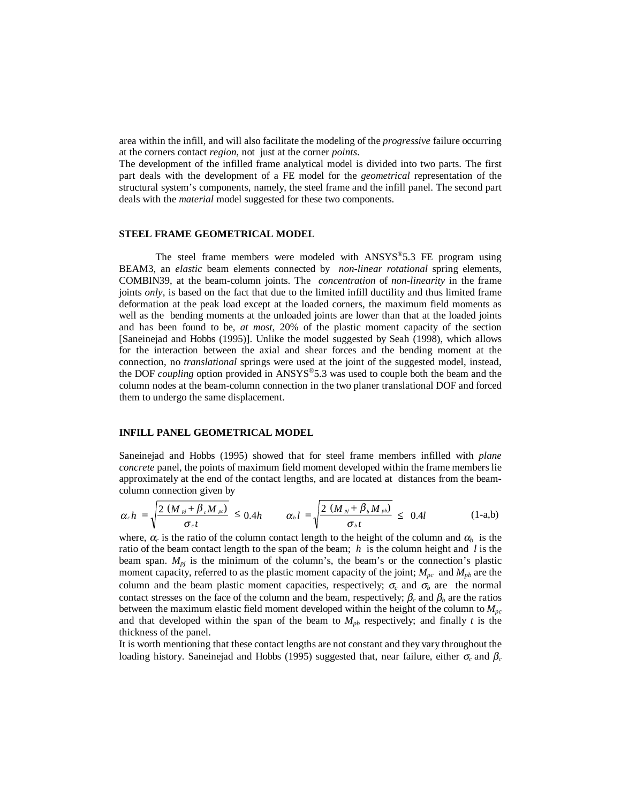area within the infill, and will also facilitate the modeling of the *progressive* failure occurring at the corners contact *region*, not just at the corner *points*.

The development of the infilled frame analytical model is divided into two parts. The first part deals with the development of a FE model for the *geometrical* representation of the structural system's components, namely, the steel frame and the infill panel. The second part deals with the *material* model suggested for these two components.

# **STEEL FRAME GEOMETRICAL MODEL**

The steel frame members were modeled with ANSYS®5.3 FE program using BEAM3, an *elastic* beam elements connected by *non-linear rotational* spring elements, COMBIN39, at the beam-column joints. The *concentration* of *non-linearity* in the frame joints *only*, is based on the fact that due to the limited infill ductility and thus limited frame deformation at the peak load except at the loaded corners, the maximum field moments as well as the bending moments at the unloaded joints are lower than that at the loaded joints and has been found to be, *at most*, 20% of the plastic moment capacity of the section [Saneinejad and Hobbs (1995)]. Unlike the model suggested by Seah (1998), which allows for the interaction between the axial and shear forces and the bending moment at the connection, no *translational* springs were used at the joint of the suggested model, instead, the DOF *coupling* option provided in ANSYS®5.3 was used to couple both the beam and the column nodes at the beam-column connection in the two planer translational DOF and forced them to undergo the same displacement.

# **INFILL PANEL GEOMETRICAL MODEL**

Saneinejad and Hobbs (1995) showed that for steel frame members infilled with *plane concrete* panel, the points of maximum field moment developed within the frame members lie approximately at the end of the contact lengths, and are located at distances from the beamcolumn connection given by

$$
\alpha_c h = \sqrt{\frac{2 (M_{pj} + \beta_c M_{pc})}{\sigma_c t}} \leq 0.4h \qquad \alpha_b l = \sqrt{\frac{2 (M_{pj} + \beta_b M_{pb})}{\sigma_b t}} \leq 0.4l \qquad (1-a,b)
$$

where,  $\alpha_c$  is the ratio of the column contact length to the height of the column and  $\alpha_b$  is the ratio of the beam contact length to the span of the beam; *h* is the column height and *l* is the beam span.  $M_{pi}$  is the minimum of the column's, the beam's or the connection's plastic moment capacity, referred to as the plastic moment capacity of the joint;  $M_{pc}$  and  $M_{pb}$  are the column and the beam plastic moment capacities, respectively;  $\sigma_c$  and  $\sigma_b$  are the normal contact stresses on the face of the column and the beam, respectively;  $\beta_c$  and  $\beta_b$  are the ratios between the maximum elastic field moment developed within the height of the column to  $M_{pc}$ and that developed within the span of the beam to  $M_{pb}$  respectively; and finally t is the thickness of the panel.

It is worth mentioning that these contact lengths are not constant and they vary throughout the loading history. Saneinejad and Hobbs (1995) suggested that, near failure, either <sup>σ</sup>*c* and β*c*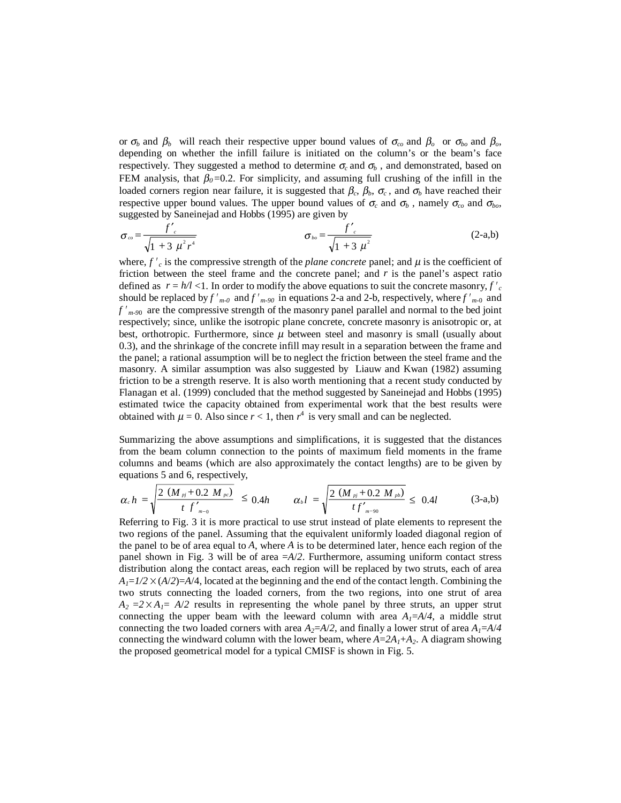or  $\sigma_b$  and  $\beta_b$  will reach their respective upper bound values of  $\sigma_{co}$  and  $\beta_o$  or  $\sigma_{bo}$  and  $\beta_o$ , depending on whether the infill failure is initiated on the column's or the beam's face respectively. They suggested a method to determine  $\sigma_c$  and  $\sigma_b$ , and demonstrated, based on FEM analysis, that  $\beta_0 = 0.2$ . For simplicity, and assuming full crushing of the infill in the loaded corners region near failure, it is suggested that  $β<sub>c</sub>, β<sub>b</sub>, σ<sub>c</sub>$ , and  $σ<sub>b</sub>$  have reached their respective upper bound values. The upper bound values of  $\sigma_c$  and  $\sigma_b$ , namely  $\sigma_{co}$  and  $\sigma_{bo}$ , suggested by Saneinejad and Hobbs (1995) are given by

$$
\sigma_{co} = \frac{f'_{c}}{\sqrt{1 + 3 \mu^{2} r^{4}}}
$$
\n
$$
\sigma_{bo} = \frac{f'_{c}}{\sqrt{1 + 3 \mu^{2}}}
$$
\n(2-a,b)

where,  $f'_{c}$  is the compressive strength of the *plane concrete* panel; and  $\mu$  is the coefficient of friction between the steel frame and the concrete panel; and  $r$  is the panel's aspect ratio defined as  $r = h/l < 1$ . In order to modify the above equations to suit the concrete masonry, f'<sub>c</sub> should be replaced by  $f'_{m-0}$  and  $f'_{m-90}$  in equations 2-a and 2-b, respectively, where  $f'_{m-0}$  and *f m-9*<sup>0</sup> are the compressive strength of the masonry panel parallel and normal to the bed joint respectively; since, unlike the isotropic plane concrete, concrete masonry is anisotropic or, at best, orthotropic. Furthermore, since  $\mu$  between steel and masonry is small (usually about 0.3), and the shrinkage of the concrete infill may result in a separation between the frame and the panel; a rational assumption will be to neglect the friction between the steel frame and the masonry. A similar assumption was also suggested by Liauw and Kwan (1982) assuming friction to be a strength reserve. It is also worth mentioning that a recent study conducted by Flanagan et al. (1999) concluded that the method suggested by Saneinejad and Hobbs (1995) estimated twice the capacity obtained from experimental work that the best results were obtained with  $\mu = 0$ . Also since  $r < 1$ , then  $r^4$  is very small and can be neglected.

Summarizing the above assumptions and simplifications, it is suggested that the distances from the beam column connection to the points of maximum field moments in the frame columns and beams (which are also approximately the contact lengths) are to be given by equations 5 and 6, respectively,

$$
\alpha_c h = \sqrt{\frac{2 (M_{pj} + 0.2 M_{pc})}{t f_{m-0}'}} \leq 0.4 h \qquad \alpha_b l = \sqrt{\frac{2 (M_{pj} + 0.2 M_{pb})}{t f_{m-90}'}} \leq 0.4 l \qquad (3-a,b)
$$

Referring to Fig. 3 it is more practical to use strut instead of plate elements to represent the two regions of the panel. Assuming that the equivalent uniformly loaded diagonal region of the panel to be of area equal to *A*, where *A* is to be determined later, hence each region of the panel shown in Fig. 3 will be of area =*A*/*2*. Furthermore, assuming uniform contact stress distribution along the contact areas, each region will be replaced by two struts, each of area  $A_1=1/2\times(A/2)=A/4$ , located at the beginning and the end of the contact length. Combining the two struts connecting the loaded corners, from the two regions, into one strut of area  $A_2 = 2 \times A_1 = A/2$  results in representing the whole panel by three struts, an upper strut connecting the upper beam with the leeward column with area  $A_1 = A/4$ , a middle strut connecting the two loaded corners with area  $A_2 = A/2$ , and finally a lower strut of area  $A_1 = A/4$ connecting the windward column with the lower beam, where  $A=2A_1+A_2$ . A diagram showing the proposed geometrical model for a typical CMISF is shown in Fig. 5.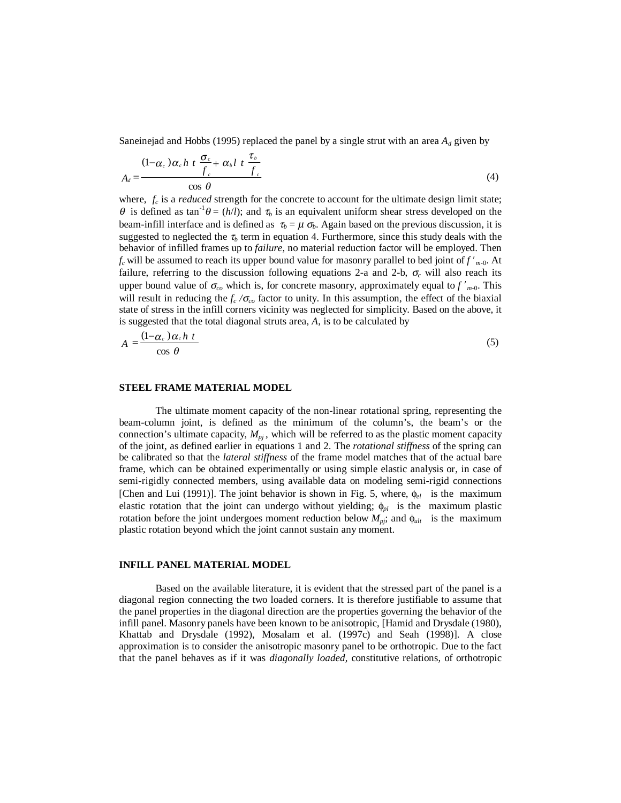Saneinejad and Hobbs (1995) replaced the panel by a single strut with an area  $A_d$  given by

$$
A_d = \frac{(1 - \alpha_c) \alpha_c h \ t \ \frac{\sigma_c}{f_c} + \alpha_b l \ t \ \frac{\tau_b}{f_c}}{\cos \theta} \tag{4}
$$

where,  $f_c$  is a *reduced* strength for the concrete to account for the ultimate design limit state;  $θ$  is defined as tan<sup>-1</sup> $θ = (h/l)$ ; and τ<sub>*b*</sub> is an equivalent uniform shear stress developed on the beam-infill interface and is defined as  $\tau_b = \mu \sigma_b$ . Again based on the previous discussion, it is suggested to neglected the  $\tau_b$  term in equation 4. Furthermore, since this study deals with the behavior of infilled frames up to *failure*, no material reduction factor will be employed. Then  $f_c$  will be assumed to reach its upper bound value for masonry parallel to bed joint of  $f'_{m-0}$ . At failure, referring to the discussion following equations 2-a and 2-b,  $\sigma_c$  will also reach its upper bound value of  $\sigma_{co}$  which is, for concrete masonry, approximately equal to  $f'_{m-0}$ . This will result in reducing the *fc /*<sup>σ</sup>*co* factor to unity. In this assumption, the effect of the biaxial state of stress in the infill corners vicinity was neglected for simplicity. Based on the above, it is suggested that the total diagonal struts area, *A*, is to be calculated by

$$
A = \frac{(1 - \alpha_c) \alpha_c h t}{\cos \theta} \tag{5}
$$

### **STEEL FRAME MATERIAL MODEL**

The ultimate moment capacity of the non-linear rotational spring, representing the beam-column joint, is defined as the minimum of the column's, the beam's or the connection's ultimate capacity,  $M_{pi}$ , which will be referred to as the plastic moment capacity of the joint, as defined earlier in equations 1 and 2. The *rotational stiffness* of the spring can be calibrated so that the *lateral stiffness* of the frame model matches that of the actual bare frame, which can be obtained experimentally or using simple elastic analysis or, in case of semi-rigidly connected members, using available data on modeling semi-rigid connections [Chen and Lui (1991)]. The joint behavior is shown in Fig. 5, where, φ*el* is the maximum elastic rotation that the joint can undergo without yielding; φ*pl* is the maximum plastic rotation before the joint undergoes moment reduction below  $M_{pi}$ ; and  $\phi_{ult}$  is the maximum plastic rotation beyond which the joint cannot sustain any moment.

#### **INFILL PANEL MATERIAL MODEL**

Based on the available literature, it is evident that the stressed part of the panel is a diagonal region connecting the two loaded corners. It is therefore justifiable to assume that the panel properties in the diagonal direction are the properties governing the behavior of the infill panel. Masonry panels have been known to be anisotropic, [Hamid and Drysdale (1980), Khattab and Drysdale (1992), Mosalam et al. (1997c) and Seah (1998)]. A close approximation is to consider the anisotropic masonry panel to be orthotropic. Due to the fact that the panel behaves as if it was *diagonally loaded*, constitutive relations, of orthotropic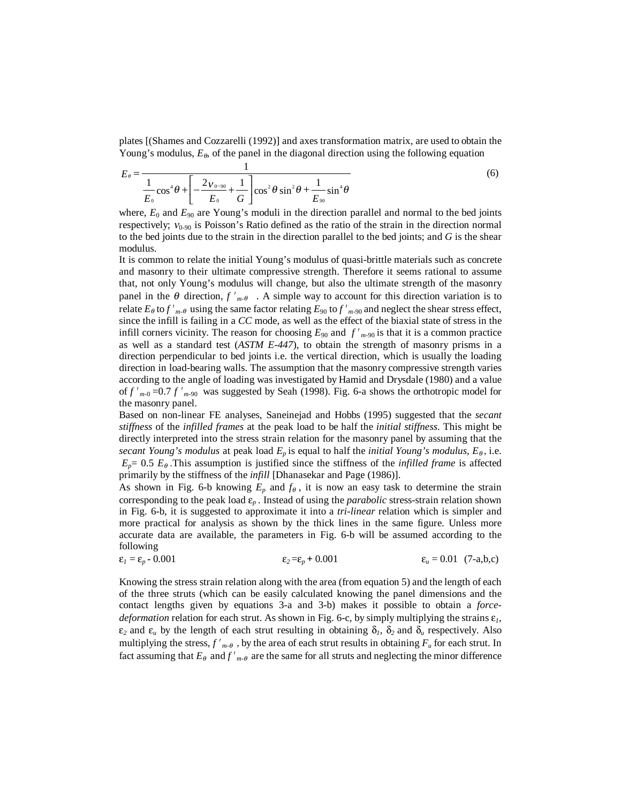plates [(Shames and Cozzarelli (1992)] and axes transformation matrix, are used to obtain the Young's modulus,  $E_{\theta}$ , of the panel in the diagonal direction using the following equation

$$
E_{\theta} = \frac{1}{\frac{1}{E_0} \cos^4 \theta + \left[ -\frac{2v_{0-90}}{E_0} + \frac{1}{G} \right] \cos^2 \theta \sin^2 \theta + \frac{1}{E_{90}} \sin^4 \theta}
$$
(6)

where,  $E_0$  and  $E_{90}$  are Young's moduli in the direction parallel and normal to the bed joints respectively;  $v_{0.90}$  is Poisson's Ratio defined as the ratio of the strain in the direction normal to the bed joints due to the strain in the direction parallel to the bed joints; and *G* is the shear modulus.

It is common to relate the initial Young's modulus of quasi-brittle materials such as concrete and masonry to their ultimate compressive strength. Therefore it seems rational to assume that, not only Young's modulus will change, but also the ultimate strength of the masonry panel in the  $\theta$  direction,  $f'_{m-\theta}$ . A simple way to account for this direction variation is to panel in the  $\theta$  direction,  $f'_{m-\theta}$ . A simple way to account for this direction variation is to relate  $E_{\theta}$  to  $f'_{m-\theta}$  using the same factor relating  $E_{90}$  to  $f'_{m-90}$  and neglect the shear stress effect, since the infill is failing in a *CC* mode, as well as the effect of the biaxial state of stress in the infill corners vicinity. The reason for choosing  $E_{90}$  and  $f'_{m-90}$  is that it is a common practice as well as a standard test (*ASTM E-447*), to obtain the strength of masonry prisms in a direction perpendicular to bed joints i.e. the vertical direction, which is usually the loading direction in load-bearing walls. The assumption that the masonry compressive strength varies according to the angle of loading was investigated by Hamid and Drysdale (1980) and a value of  $f'_{m-0}$  =0.7  $f'_{m-90}$  was suggested by Seah (1998). Fig. 6-a shows the orthotropic model for the masonry panel.

Based on non-linear FE analyses, Saneinejad and Hobbs (1995) suggested that the *secant stiffness* of the *infilled frames* at the peak load to be half the *initial stiffness*. This might be directly interpreted into the stress strain relation for the masonry panel by assuming that the *secant Young's modulus* at peak load  $E_p$  is equal to half the *initial Young's modulus*,  $E_{\theta}$ , i.e.  $E_p = 0.5 E_\theta$ . This assumption is justified since the stiffness of the *infilled frame* is affected primarily by the stiffness of the *infill* [Dhanasekar and Page (1986)].

As shown in Fig. 6-b knowing  $E_p$  and  $f_\theta$ , it is now an easy task to determine the strain corresponding to the peak load ε*p* . Instead of using the *parabolic* stress-strain relation shown in Fig. 6-b, it is suggested to approximate it into a *tri-linear* relation which is simpler and more practical for analysis as shown by the thick lines in the same figure. Unless more accurate data are available, the parameters in Fig. 6-b will be assumed according to the following

$$
\varepsilon_1 = \varepsilon_p - 0.001 \qquad \varepsilon_2 = \varepsilon_p + 0.001 \qquad \varepsilon_u = 0.01 \quad (7-a,b,c)
$$

Knowing the stress strain relation along with the area (from equation 5) and the length of each of the three struts (which can be easily calculated knowing the panel dimensions and the contact lengths given by equations 3-a and 3-b) makes it possible to obtain a *forcedeformation* relation for each strut. As shown in Fig. 6-c, by simply multiplying the strains ε*1*,  $\varepsilon_2$  and  $\varepsilon_u$  by the length of each strut resulting in obtaining  $\delta_l$ ,  $\delta_2$  and  $\delta_u$  respectively. Also multiplying the stress,  $f'_{m-\theta}$ , by the area of each strut results in obtaining  $F_u$  for each strut. In multiplying the stress,  $f'_{m-\theta}$ , by the area of each strut results in obtaining  $F_u$  for each strut. In fact assuming that  $E_\theta$  and  $f'_{m-\theta}$  are the same for all struts and neglecting the minor difference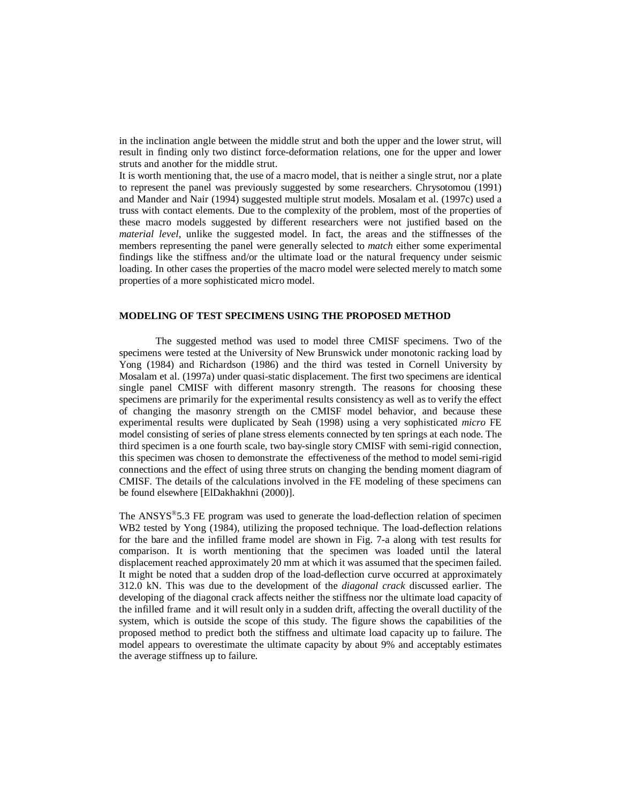in the inclination angle between the middle strut and both the upper and the lower strut, will result in finding only two distinct force-deformation relations, one for the upper and lower struts and another for the middle strut.

It is worth mentioning that, the use of a macro model, that is neither a single strut, nor a plate to represent the panel was previously suggested by some researchers. Chrysotomou (1991) and Mander and Nair (1994) suggested multiple strut models. Mosalam et al. (1997c) used a truss with contact elements. Due to the complexity of the problem, most of the properties of these macro models suggested by different researchers were not justified based on the *material level*, unlike the suggested model. In fact, the areas and the stiffnesses of the members representing the panel were generally selected to *match* either some experimental findings like the stiffness and/or the ultimate load or the natural frequency under seismic loading. In other cases the properties of the macro model were selected merely to match some properties of a more sophisticated micro model.

### **MODELING OF TEST SPECIMENS USING THE PROPOSED METHOD**

The suggested method was used to model three CMISF specimens. Two of the specimens were tested at the University of New Brunswick under monotonic racking load by Yong (1984) and Richardson (1986) and the third was tested in Cornell University by Mosalam et al. (1997a) under quasi-static displacement. The first two specimens are identical single panel CMISF with different masonry strength. The reasons for choosing these specimens are primarily for the experimental results consistency as well as to verify the effect of changing the masonry strength on the CMISF model behavior, and because these experimental results were duplicated by Seah (1998) using a very sophisticated *micro* FE model consisting of series of plane stress elements connected by ten springs at each node. The third specimen is a one fourth scale, two bay-single story CMISF with semi-rigid connection, this specimen was chosen to demonstrate the effectiveness of the method to model semi-rigid connections and the effect of using three struts on changing the bending moment diagram of CMISF. The details of the calculations involved in the FE modeling of these specimens can be found elsewhere [ElDakhakhni (2000)].

The ANSYS®5.3 FE program was used to generate the load-deflection relation of specimen WB2 tested by Yong (1984), utilizing the proposed technique. The load-deflection relations for the bare and the infilled frame model are shown in Fig. 7-a along with test results for comparison. It is worth mentioning that the specimen was loaded until the lateral displacement reached approximately 20 mm at which it was assumed that the specimen failed. It might be noted that a sudden drop of the load-deflection curve occurred at approximately 312.0 kN. This was due to the development of the *diagonal crack* discussed earlier. The developing of the diagonal crack affects neither the stiffness nor the ultimate load capacity of the infilled frame and it will result only in a sudden drift, affecting the overall ductility of the system, which is outside the scope of this study. The figure shows the capabilities of the proposed method to predict both the stiffness and ultimate load capacity up to failure. The model appears to overestimate the ultimate capacity by about 9% and acceptably estimates the average stiffness up to failure.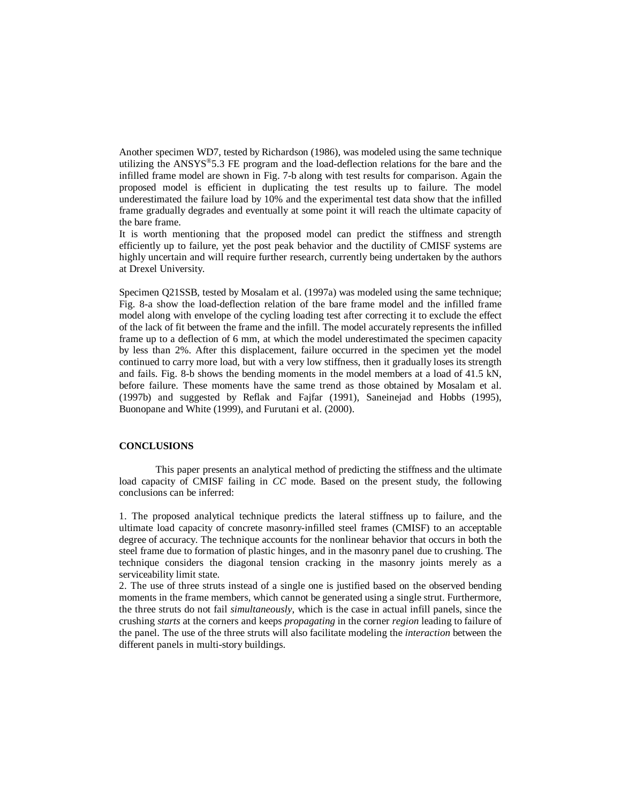Another specimen WD7, tested by Richardson (1986), was modeled using the same technique utilizing the  $ANSYS^{\circledast}5.3$  FE program and the load-deflection relations for the bare and the infilled frame model are shown in Fig. 7-b along with test results for comparison. Again the proposed model is efficient in duplicating the test results up to failure. The model underestimated the failure load by 10% and the experimental test data show that the infilled frame gradually degrades and eventually at some point it will reach the ultimate capacity of the bare frame.

It is worth mentioning that the proposed model can predict the stiffness and strength efficiently up to failure, yet the post peak behavior and the ductility of CMISF systems are highly uncertain and will require further research, currently being undertaken by the authors at Drexel University.

Specimen Q21SSB, tested by Mosalam et al. (1997a) was modeled using the same technique; Fig. 8-a show the load-deflection relation of the bare frame model and the infilled frame model along with envelope of the cycling loading test after correcting it to exclude the effect of the lack of fit between the frame and the infill. The model accurately represents the infilled frame up to a deflection of 6 mm, at which the model underestimated the specimen capacity by less than 2%. After this displacement, failure occurred in the specimen yet the model continued to carry more load, but with a very low stiffness, then it gradually loses its strength and fails. Fig. 8-b shows the bending moments in the model members at a load of 41.5 kN, before failure. These moments have the same trend as those obtained by Mosalam et al. (1997b) and suggested by Reflak and Fajfar (1991), Saneinejad and Hobbs (1995), Buonopane and White (1999), and Furutani et al. (2000).

## **CONCLUSIONS**

This paper presents an analytical method of predicting the stiffness and the ultimate load capacity of CMISF failing in *CC* mode. Based on the present study, the following conclusions can be inferred:

1. The proposed analytical technique predicts the lateral stiffness up to failure, and the ultimate load capacity of concrete masonry-infilled steel frames (CMISF) to an acceptable degree of accuracy. The technique accounts for the nonlinear behavior that occurs in both the steel frame due to formation of plastic hinges, and in the masonry panel due to crushing. The technique considers the diagonal tension cracking in the masonry joints merely as a serviceability limit state.

2. The use of three struts instead of a single one is justified based on the observed bending moments in the frame members, which cannot be generated using a single strut. Furthermore, the three struts do not fail *simultaneously*, which is the case in actual infill panels, since the crushing *starts* at the corners and keeps *propagating* in the corner *region* leading to failure of the panel. The use of the three struts will also facilitate modeling the *interaction* between the different panels in multi-story buildings.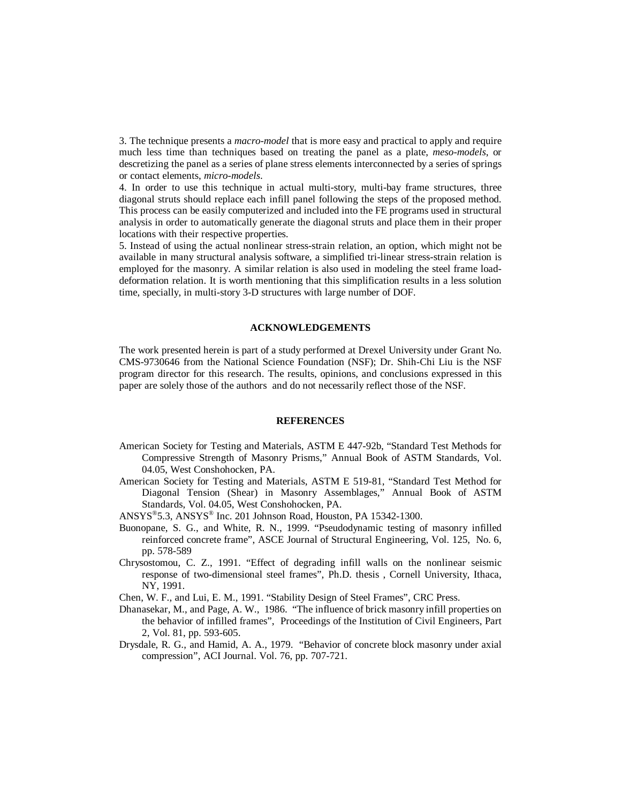3. The technique presents a *macro-model* that is more easy and practical to apply and require much less time than techniques based on treating the panel as a plate, *meso-models*, or descretizing the panel as a series of plane stress elements interconnected by a series of springs or contact elements, *micro-models*.

4. In order to use this technique in actual multi-story, multi-bay frame structures, three diagonal struts should replace each infill panel following the steps of the proposed method. This process can be easily computerized and included into the FE programs used in structural analysis in order to automatically generate the diagonal struts and place them in their proper locations with their respective properties.

5. Instead of using the actual nonlinear stress-strain relation, an option, which might not be available in many structural analysis software, a simplified tri-linear stress-strain relation is employed for the masonry. A similar relation is also used in modeling the steel frame loaddeformation relation. It is worth mentioning that this simplification results in a less solution time, specially, in multi-story 3-D structures with large number of DOF.

#### **ACKNOWLEDGEMENTS**

The work presented herein is part of a study performed at Drexel University under Grant No. CMS-9730646 from the National Science Foundation (NSF); Dr. Shih-Chi Liu is the NSF program director for this research. The results, opinions, and conclusions expressed in this paper are solely those of the authors and do not necessarily reflect those of the NSF.

#### **REFERENCES**

- American Society for Testing and Materials, ASTM E 447-92b, "Standard Test Methods for Compressive Strength of Masonry Prisms," Annual Book of ASTM Standards, Vol. 04.05, West Conshohocken, PA.
- American Society for Testing and Materials, ASTM E 519-81, "Standard Test Method for Diagonal Tension (Shear) in Masonry Assemblages," Annual Book of ASTM Standards, Vol. 04.05, West Conshohocken, PA.
- ANSYS®5.3, ANSYS® Inc. 201 Johnson Road, Houston, PA 15342-1300.
- Buonopane, S. G., and White, R. N., 1999. "Pseudodynamic testing of masonry infilled reinforced concrete frame", ASCE Journal of Structural Engineering, Vol. 125, No. 6, pp. 578-589
- Chrysostomou, C. Z., 1991. "Effect of degrading infill walls on the nonlinear seismic response of two-dimensional steel frames", Ph.D. thesis , Cornell University, Ithaca, NY, 1991.
- Chen, W. F., and Lui, E. M., 1991. "Stability Design of Steel Frames", CRC Press.
- Dhanasekar, M., and Page, A. W., 1986. "The influence of brick masonry infill properties on the behavior of infilled frames", Proceedings of the Institution of Civil Engineers, Part 2, Vol. 81, pp. 593-605.
- Drysdale, R. G., and Hamid, A. A., 1979. "Behavior of concrete block masonry under axial compression", ACI Journal. Vol. 76, pp. 707-721.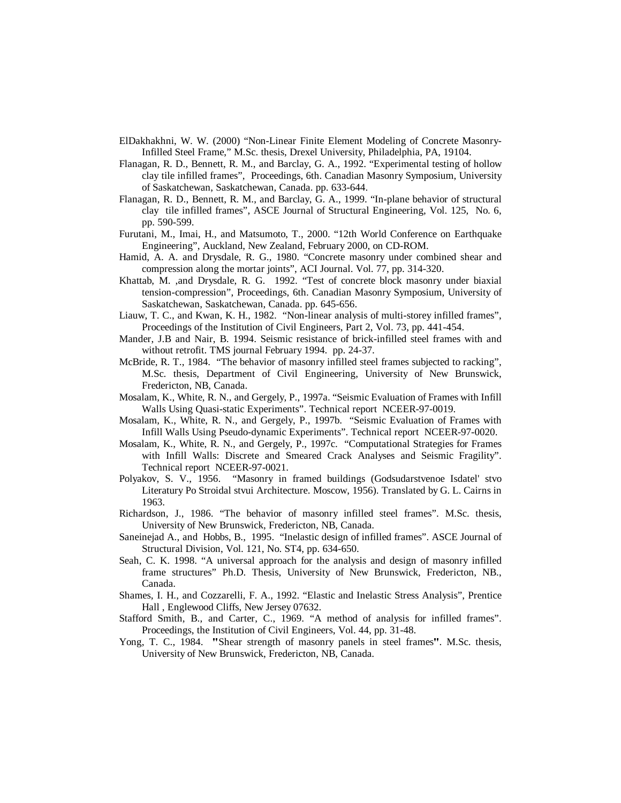- ElDakhakhni, W. W. (2000) "Non-Linear Finite Element Modeling of Concrete Masonry-Infilled Steel Frame," M.Sc. thesis, Drexel University, Philadelphia, PA, 19104.
- Flanagan, R. D., Bennett, R. M., and Barclay, G. A., 1992. "Experimental testing of hollow clay tile infilled frames", Proceedings, 6th. Canadian Masonry Symposium, University of Saskatchewan, Saskatchewan, Canada. pp. 633-644.
- Flanagan, R. D., Bennett, R. M., and Barclay, G. A., 1999. "In-plane behavior of structural clay tile infilled frames", ASCE Journal of Structural Engineering, Vol. 125, No. 6, pp. 590-599.
- Furutani, M., Imai, H., and Matsumoto, T., 2000. "12th World Conference on Earthquake Engineering", Auckland, New Zealand, February 2000, on CD-ROM.
- Hamid, A. A. and Drysdale, R. G., 1980. "Concrete masonry under combined shear and compression along the mortar joints", ACI Journal. Vol. 77, pp. 314-320.
- Khattab, M. ,and Drysdale, R. G. 1992. "Test of concrete block masonry under biaxial tension-compression", Proceedings, 6th. Canadian Masonry Symposium, University of Saskatchewan, Saskatchewan, Canada. pp. 645-656.
- Liauw, T. C., and Kwan, K. H., 1982. "Non-linear analysis of multi-storey infilled frames", Proceedings of the Institution of Civil Engineers, Part 2, Vol. 73, pp. 441-454.
- Mander, J.B and Nair, B. 1994. Seismic resistance of brick-infilled steel frames with and without retrofit. TMS journal February 1994. pp. 24-37.
- McBride, R. T., 1984. "The behavior of masonry infilled steel frames subjected to racking", M.Sc. thesis, Department of Civil Engineering, University of New Brunswick, Fredericton, NB, Canada.
- Mosalam, K., White, R. N., and Gergely, P., 1997a. "Seismic Evaluation of Frames with Infill Walls Using Quasi-static Experiments". Technical report NCEER-97-0019.
- Mosalam, K., White, R. N., and Gergely, P., 1997b. "Seismic Evaluation of Frames with Infill Walls Using Pseudo-dynamic Experiments". Technical report NCEER-97-0020.
- Mosalam, K., White, R. N., and Gergely, P., 1997c. "Computational Strategies for Frames with Infill Walls: Discrete and Smeared Crack Analyses and Seismic Fragility". Technical report NCEER-97-0021.
- Polyakov, S. V., 1956. "Masonry in framed buildings (Godsudarstvenoe Isdatel' stvo Literatury Po Stroidal stvui Architecture. Moscow, 1956). Translated by G. L. Cairns in 1963.
- Richardson, J., 1986. "The behavior of masonry infilled steel frames". M.Sc. thesis, University of New Brunswick, Fredericton, NB, Canada.
- Saneinejad A., and Hobbs, B., 1995. "Inelastic design of infilled frames". ASCE Journal of Structural Division, Vol. 121, No. ST4, pp. 634-650.
- Seah, C. K. 1998. "A universal approach for the analysis and design of masonry infilled frame structures" Ph.D. Thesis, University of New Brunswick, Fredericton, NB., Canada.
- Shames, I. H., and Cozzarelli, F. A., 1992. "Elastic and Inelastic Stress Analysis", Prentice Hall , Englewood Cliffs, New Jersey 07632.
- Stafford Smith, B., and Carter, C., 1969. "A method of analysis for infilled frames". Proceedings, the Institution of Civil Engineers, Vol. 44, pp. 31-48.
- Yong, T. C., 1984. "Shear strength of masonry panels in steel frames". M.Sc. thesis, University of New Brunswick, Fredericton, NB, Canada.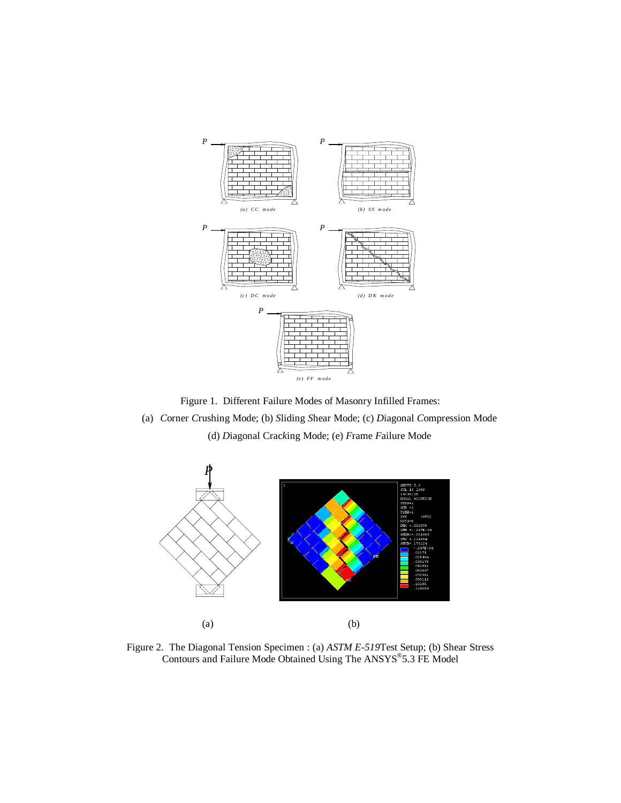

Figure 1. Different Failure Modes of Masonry Infilled Frames:

(a) *C*orner *C*rushing Mode; (b) *S*liding *S*hear Mode; (c) *D*iagonal *C*ompression Mode (d) *D*iagonal Crac*k*ing Mode; (e) *F*rame *F*ailure Mode



Figure 2. The Diagonal Tension Specimen : (a) *ASTM E-519*Test Setup; (b) Shear Stress Contours and Failure Mode Obtained Using The ANSYS®5.3 FE Model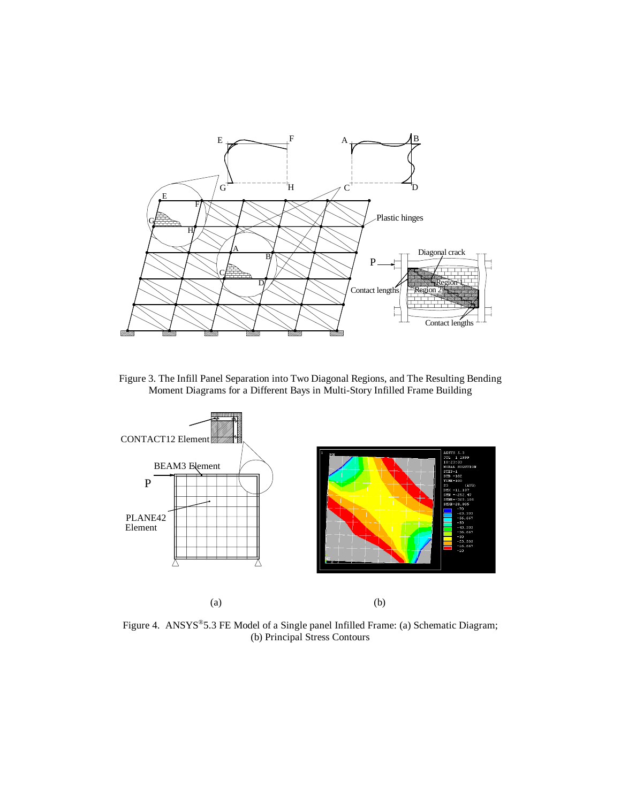

Figure 3. The Infill Panel Separation into Two Diagonal Regions, and The Resulting Bending Moment Diagrams for a Different Bays in Multi-Story Infilled Frame Building



Figure 4. ANSYS®5.3 FE Model of a Single panel Infilled Frame: (a) Schematic Diagram; (b) Principal Stress Contours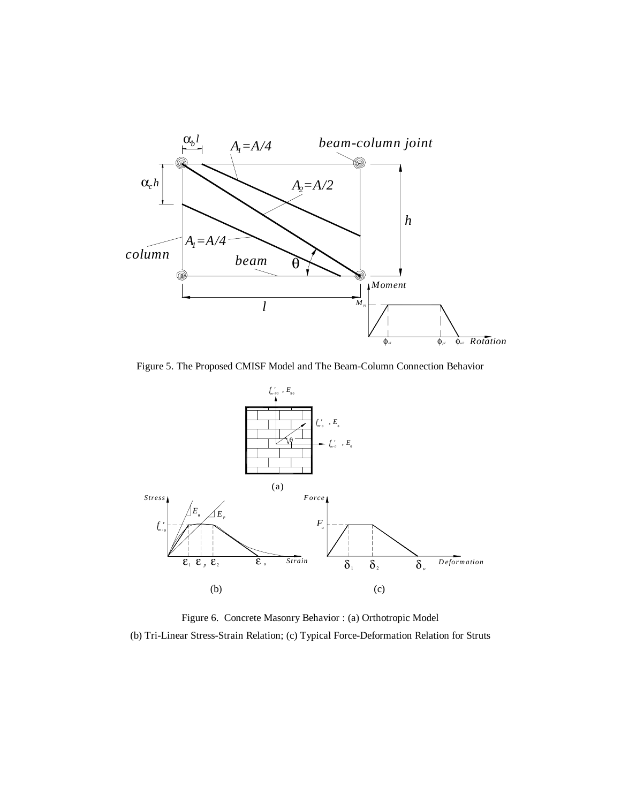

Figure 5. The Proposed CMISF Model and The Beam-Column Connection Behavior



Figure 6. Concrete Masonry Behavior : (a) Orthotropic Model (b) Tri-Linear Stress-Strain Relation; (c) Typical Force-Deformation Relation for Struts